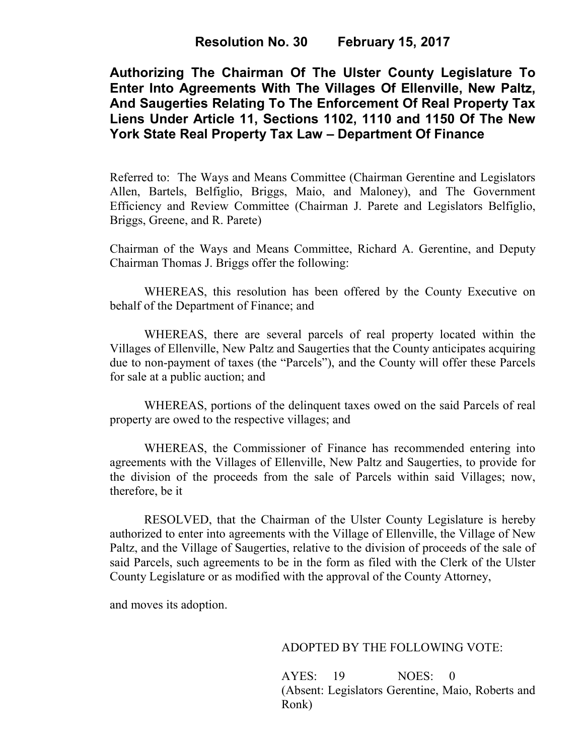# **Resolution No. 30 February 15, 2017**

**Authorizing The Chairman Of The Ulster County Legislature To Enter Into Agreements With The Villages Of Ellenville, New Paltz, And Saugerties Relating To The Enforcement Of Real Property Tax Liens Under Article 11, Sections 1102, 1110 and 1150 Of The New York State Real Property Tax Law – Department Of Finance** 

Referred to: The Ways and Means Committee (Chairman Gerentine and Legislators Allen, Bartels, Belfiglio, Briggs, Maio, and Maloney), and The Government Efficiency and Review Committee (Chairman J. Parete and Legislators Belfiglio, Briggs, Greene, and R. Parete)

Chairman of the Ways and Means Committee, Richard A. Gerentine, and Deputy Chairman Thomas J. Briggs offer the following:

WHEREAS, this resolution has been offered by the County Executive on behalf of the Department of Finance; and

 WHEREAS, there are several parcels of real property located within the Villages of Ellenville, New Paltz and Saugerties that the County anticipates acquiring due to non-payment of taxes (the "Parcels"), and the County will offer these Parcels for sale at a public auction; and

 WHEREAS, portions of the delinquent taxes owed on the said Parcels of real property are owed to the respective villages; and

WHEREAS, the Commissioner of Finance has recommended entering into agreements with the Villages of Ellenville, New Paltz and Saugerties, to provide for the division of the proceeds from the sale of Parcels within said Villages; now, therefore, be it

 RESOLVED, that the Chairman of the Ulster County Legislature is hereby authorized to enter into agreements with the Village of Ellenville, the Village of New Paltz, and the Village of Saugerties, relative to the division of proceeds of the sale of said Parcels, such agreements to be in the form as filed with the Clerk of the Ulster County Legislature or as modified with the approval of the County Attorney,

and moves its adoption.

### ADOPTED BY THE FOLLOWING VOTE:

AYES: 19 NOES: 0 (Absent: Legislators Gerentine, Maio, Roberts and Ronk)